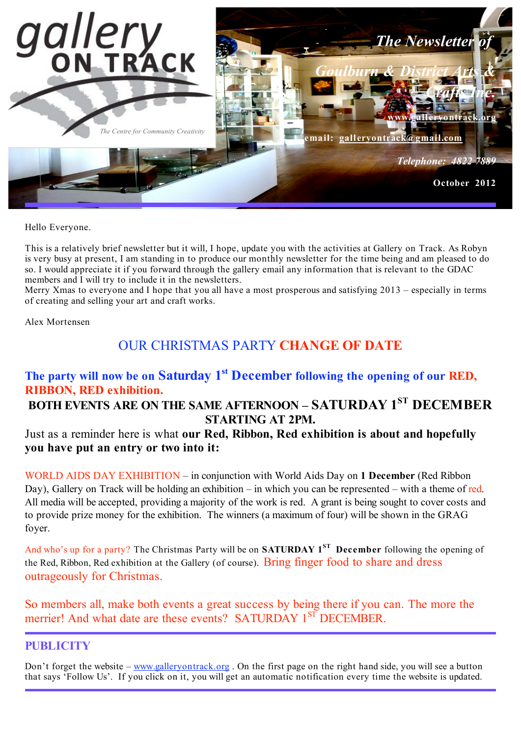

Hello Everyone.

This is a relatively brief newsletter but it will, I hope, update you with the activities at Gallery on Track. As Robyn is very busy at present, I am standing in to produce our monthly newsletter for the time being and am pleased to do so. I would appreciate it if you forward through the gallery email any information that is relevant to the GDAC members and I will try to include it in the newsletters.

Merry Xmas to everyone and I hope that you all have a most prosperous and satisfying 2013 – especially in terms of creating and selling your art and craft works.

Alex Mortensen

# OUR CHRISTMAS PARTY **CHANGE OF DATE**

## **The party will now be on Saturday 1st December following the opening of our RED, RIBBON, RED exhibition.**

# **BOTH EVENTS ARE ON THE SAME AFTERNOON – SATURDAY 1ST DECEMBER STARTING AT 2PM.**

Just as a reminder here is what **our Red, Ribbon, Red exhibition is about and hopefully you have put an entry or two into it:**

WORLD AIDS DAY EXHIBITION – in conjunction with World Aids Day on **1 December** (Red Ribbon Day), Gallery on Track will be holding an exhibition – in which you can be represented – with a theme of red. All media will be accepted, providing a majority of the work is red. A grant is being sought to cover costs and to provide prize money for the exhibition. The winners (a maximum of four) will be shown in the GRAG foyer.

And who's up for a party? The Christmas Party will be on **SATURDAY 1ST December** following the opening of the Red, Ribbon, Red exhibition at the Gallery (of course). Bring finger food to share and dress outrageously for Christmas.

So members all, make both events a great success by being there if you can. The more the merrier! And what date are these events? SATURDAY 1<sup>ST</sup> DECEMBER.

## **PUBLICITY**

Don't forget the website – www.galleryontrack.org. On the first page on the right hand side, you will see a button that says 'Follow Us'. If you click on it, you will get an automatic notification every time the website is updated.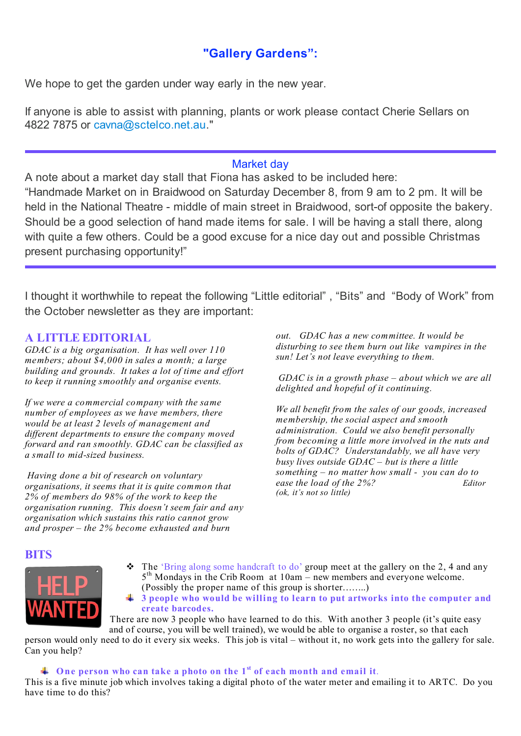# **"Gallery Gardens":**

We hope to get the garden under way early in the new year.

If anyone is able to assist with planning, plants or work please contact Cherie Sellars on 4822 7875 or cavna@sctelco.net.au."

#### Market day

A note about a market day stall that Fiona has asked to be included here: "Handmade Market on in Braidwood on Saturday December 8, from 9 am to 2 pm. It will be held in the National Theatre - middle of main street in Braidwood, sort-of opposite the bakery. Should be a good selection of hand made items for sale. I will be having a stall there, along with quite a few others. Could be a good excuse for a nice day out and possible Christmas present purchasing opportunity!"

I thought it worthwhile to repeat the following "Little editorial" , "Bits" and "Body of Work" from the October newsletter as they are important:

#### **A LITTLE EDITORIAL**

*GDAC is a big organisation. It has well over 110 members; about \$4,000 in sales a month; a large building and grounds. It takes a lot of time and effort to keep it running smoothly and organise events.*

*If we were a commercial company with the same number of employees as we have members, there would be at least 2 levels of management and different departments to ensure the company moved forward and ran smoothly. GDAC can be classified as a small to mid-sized business.*

*Having done a bit of research on voluntary organisations, it seems that it is quite common that 2% of members do 98% of the work to keep the organisation running. This doesn't seem fair and any organisation which sustains this ratio cannot grow and prosper – the 2% become exhausted and burn*

*out. GDAC has a new committee. It would be disturbing to see them burn out like vampires in the sun! Let's not leave everything to them.*

*GDAC is in a growth phase – about which we are all delighted and hopeful of it continuing.*

*We all benefit from the sales of our goods, increased membership, the social aspect and smooth administration. Could we also benefit personally from becoming a little more involved in the nuts and bolts of GDAC? Understandably, we all have very busy lives outside GDAC – but is there a little something – no matter how small - you can do to ease the load of the 2%? Editor (ok, it's not so little)*

#### **BITS**



 $\cdot \cdot \cdot$  The 'Bring along some handcraft to do' group meet at the gallery on the 2, 4 and any 5<sup>th</sup> Mondays in the Crib Room at 10am – new members and everyone welcome. (Possibly the proper name of this group is shorter……..)

**3 people who would be willing to learn to put artworks into the computer and create barcodes.**

There are now 3 people who have learned to do this. With another 3 people (it's quite easy and of course, you will be well trained), we would be able to organise a roster, so that each

person would only need to do it every six weeks. This job is vital – without it, no work gets into the gallery for sale. Can you help?

**One person who can take a photo on the 1st of each month and email it**.

This is a five minute job which involves taking a digital photo of the water meter and emailing it to ARTC. Do you have time to do this?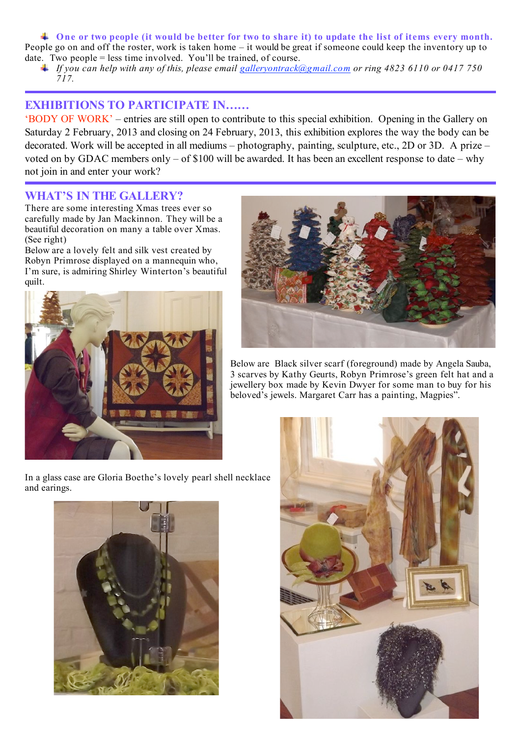$\ddagger$  One or two people (it would be better for two to share it) to update the list of items every month. People go on and off the roster, work is taken home – it would be great if someone could keep the inventory up to date. Two people = less time involved. You'll be trained, of course.

 $\textcolor{red}{\downarrow}$  If you can help with any of this, please email galleryontrack (a) gmail.com or ring 4823 6110 or 0417 750 *717.*

### **EXHIBITIONS TO PARTICIPATE IN……**

'BODY OF WORK' – entries are still open to contribute to this special exhibition. Opening in the Gallery on Saturday 2 February, 2013 and closing on 24 February, 2013, this exhibition explores the way the body can be decorated. Work will be accepted in all mediums – photography, painting, sculpture, etc., 2D or 3D. A prize – voted on by GDAC members only – of \$100 will be awarded. It has been an excellent response to date – why not join in and enter your work?

#### **WHAT'S IN THE GALLERY?**

There are some interesting Xmas trees ever so carefully made by Jan Mackinnon. They will be a beautiful decoration on many a table over Xmas. (See right)

Below are a lovely felt and silk vest created by Robyn Primrose displayed on a mannequin who, I'm sure, is admiring Shirley Winterton's beautiful quilt.



Below are Black silver scarf (foreground) made by Angela Sauba, 3 scarves by Kathy Geurts, Robyn Primrose's green felt hat and a jewellery box made by Kevin Dwyer for some man to buy for his beloved's jewels. Margaret Carr has a painting, Magpies".





In a glass case are Gloria Boethe's lovely pearl shell necklace and earings.